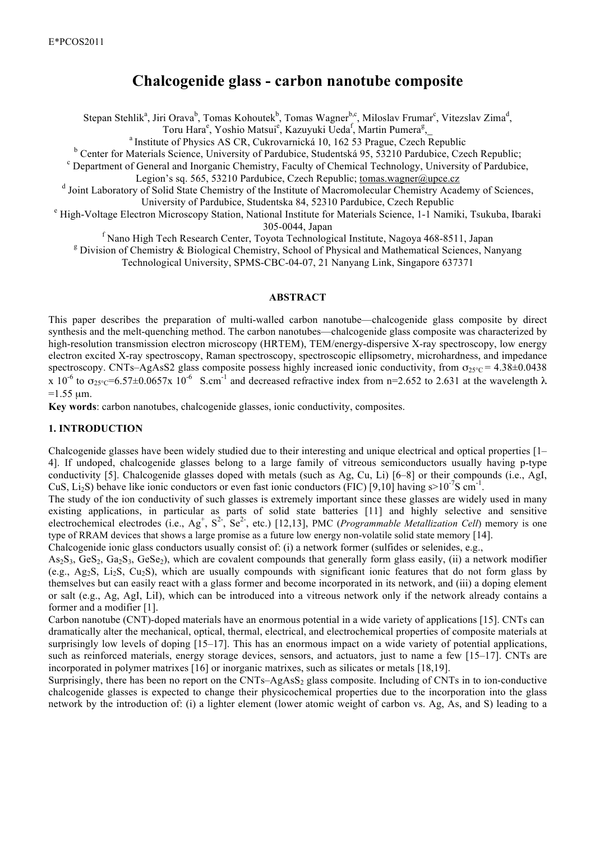# **Chalcogenide glass - carbon nanotube composite**

Stepan Stehlik<sup>a</sup>, Jiri Orava<sup>b</sup>, Tomas Kohoutek<sup>b</sup>, Tomas Wagner<sup>b,c</sup>, Miloslav Frumar<sup>c</sup>, Vitezslav Zima<sup>d</sup>,

Toru Hara<sup>e</sup>, Yoshio Matsui<sup>e</sup>, Kazuyuki Ueda<sup>f</sup>, Martin Pumera<sup>g</sup>,

<sup>a</sup> Institute of Physics AS CR, Cukrovarnická 10, 162 53 Prague, Czech Republic

<sup>b</sup> Center for Materials Science, University of Pardubice, Studentská 95, 53210 Pardubice, Czech Republic;

Department of General and Inorganic Chemistry, Faculty of Chemical Technology, University of Pardubice,

Legion's sq. 565, 53210 Pardubice, Czech Republic; tomas.wagner@upce.cz

d Joint Laboratory of Solid State Chemistry of the Institute of Macromolecular Chemistry Academy of Sciences,

University of Pardubice, Studentska 84, 52310 Pardubice, Czech Republic <sup>e</sup>

<sup>e</sup> High-Voltage Electron Microscopy Station, National Institute for Materials Science, 1-1 Namiki, Tsukuba, Ibaraki

305-0044, Japan<br><sup>f</sup> Nano High Tech Research Center, Toyota Technological Institute, Nagoya 468-8511, Japan

<sup>g</sup> Division of Chemistry & Biological Chemistry, School of Physical and Mathematical Sciences, Nanyang

Technological University, SPMS-CBC-04-07, 21 Nanyang Link, Singapore 637371

## **ABSTRACT**

This paper describes the preparation of multi-walled carbon nanotube—chalcogenide glass composite by direct synthesis and the melt-quenching method. The carbon nanotubes—chalcogenide glass composite was characterized by high-resolution transmission electron microscopy (HRTEM), TEM/energy-dispersive X-ray spectroscopy, low energy electron excited X-ray spectroscopy, Raman spectroscopy, spectroscopic ellipsometry, microhardness, and impedance spectroscopy. CNTs–AgAsS2 glass composite possess highly increased ionic conductivity, from  $\sigma_{25\degree C}$  = 4.38±0.0438 x 10<sup>-6</sup> to  $\sigma_{25\degree C}$ =6.57±0.0657x 10<sup>-6</sup> S.cm<sup>-1</sup> and decreased refractive index from n=2.652 to 2.631 at the wavelength  $\lambda$  $=1.55$  um.

**Key words**: carbon nanotubes, chalcogenide glasses, ionic conductivity, composites.

## **1. INTRODUCTION**

Chalcogenide glasses have been widely studied due to their interesting and unique electrical and optical properties [1– 4]. If undoped, chalcogenide glasses belong to a large family of vitreous semiconductors usually having p-type conductivity [5]. Chalcogenide glasses doped with metals (such as Ag, Cu, Li) [6–8] or their compounds (i.e., AgI, CuS, Li<sub>2</sub>S) behave like ionic conductors or even fast ionic conductors (FIC) [9,10] having  $s>10^{-7}$ S cm<sup>-1</sup>.

The study of the ion conductivity of such glasses is extremely important since these glasses are widely used in many existing applications, in particular as parts of solid state batteries [11] and highly selective and sensitive electrochemical electrodes (i.e.,  $Ag^+$ ,  $S^2$ ,  $Se^2$ , etc.) [12,13], PMC (*Programmable Metallization Cell*) memory is one type of RRAM devices that shows a large promise as a future low energy non-volatile solid state memory [14].

Chalcogenide ionic glass conductors usually consist of: (i) a network former (sulfides or selenides, e.g.,

 $As_2S_3$ , Ge $S_2$ , Ga<sub>2</sub>S<sub>3</sub>, GeSe<sub>2</sub>), which are covalent compounds that generally form glass easily, (ii) a network modifier (e.g., Ag<sub>2</sub>S, Li<sub>2</sub>S, Cu<sub>2</sub>S), which are usually compounds with significant ionic features that do not form glass by themselves but can easily react with a glass former and become incorporated in its network, and (iii) a doping element or salt (e.g., Ag, AgI, LiI), which can be introduced into a vitreous network only if the network already contains a former and a modifier [1].

Carbon nanotube (CNT)-doped materials have an enormous potential in a wide variety of applications [15]. CNTs can dramatically alter the mechanical, optical, thermal, electrical, and electrochemical properties of composite materials at surprisingly low levels of doping [15–17]. This has an enormous impact on a wide variety of potential applications, such as reinforced materials, energy storage devices, sensors, and actuators, just to name a few [15–17]. CNTs are incorporated in polymer matrixes [16] or inorganic matrixes, such as silicates or metals [18,19].

Surprisingly, there has been no report on the  $CNTs$ –AgAsS<sub>2</sub> glass composite. Including of CNTs in to ion-conductive chalcogenide glasses is expected to change their physicochemical properties due to the incorporation into the glass network by the introduction of: (i) a lighter element (lower atomic weight of carbon vs. Ag, As, and S) leading to a